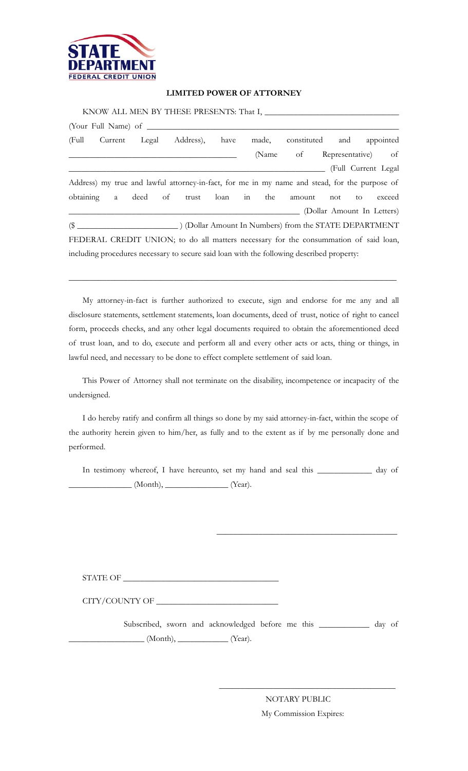

## **LIMITED POWER OF ATTORNEY**

|  |  |  | KNOW ALL MEN BY THESE PRESENTS: That I, ________                                              |  |  |                             |  |                            |
|--|--|--|-----------------------------------------------------------------------------------------------|--|--|-----------------------------|--|----------------------------|
|  |  |  |                                                                                               |  |  |                             |  |                            |
|  |  |  | (Full Current Legal Address), have made, constituted and appointed                            |  |  |                             |  |                            |
|  |  |  |                                                                                               |  |  | (Name of Representative) of |  |                            |
|  |  |  |                                                                                               |  |  |                             |  | (Full Current Legal)       |
|  |  |  | Address) my true and lawful attorney-in-fact, for me in my name and stead, for the purpose of |  |  |                             |  |                            |
|  |  |  | obtaining a deed of trust loan in the amount not to                                           |  |  |                             |  | exceed                     |
|  |  |  |                                                                                               |  |  |                             |  | (Dollar Amount In Letters) |
|  |  |  |                                                                                               |  |  |                             |  |                            |
|  |  |  | FEDERAL CREDIT UNION; to do all matters necessary for the consummation of said loan,          |  |  |                             |  |                            |
|  |  |  | including procedures necessary to secure said loan with the following described property:     |  |  |                             |  |                            |

My attorney-in-fact is further authorized to execute, sign and endorse for me any and all disclosure statements, settlement statements, loan documents, deed of trust, notice of right to cancel form, proceeds checks, and any other legal documents required to obtain the aforementioned deed of trust loan, and to do, execute and perform all and every other acts or acts, thing or things, in lawful need, and necessary to be done to effect complete settlement of said loan.

\_\_\_\_\_\_\_\_\_\_\_\_\_\_\_\_\_\_\_\_\_\_\_\_\_\_\_\_\_\_\_\_\_\_\_\_\_\_\_\_\_\_\_\_\_\_\_\_\_\_\_\_\_\_\_\_\_\_\_\_\_\_\_\_\_\_\_\_\_\_\_\_\_\_\_\_\_\_

This Power of Attorney shall not terminate on the disability, incompetence or incapacity of the undersigned.

I do hereby ratify and confirm all things so done by my said attorney-in-fact, within the scope of the authority herein given to him/her, as fully and to the extent as if by me personally done and performed.

In testimony whereof, I have hereunto, set my hand and seal this \_\_\_\_\_\_\_\_\_\_\_\_\_ day of \_\_\_\_\_\_\_\_\_\_\_\_\_\_\_ (Month), \_\_\_\_\_\_\_\_\_\_\_\_\_\_\_ (Year).

 $\frac{1}{\sqrt{2}}$  ,  $\frac{1}{\sqrt{2}}$  ,  $\frac{1}{\sqrt{2}}$  ,  $\frac{1}{\sqrt{2}}$  ,  $\frac{1}{\sqrt{2}}$  ,  $\frac{1}{\sqrt{2}}$  ,  $\frac{1}{\sqrt{2}}$  ,  $\frac{1}{\sqrt{2}}$  ,  $\frac{1}{\sqrt{2}}$  ,  $\frac{1}{\sqrt{2}}$  ,  $\frac{1}{\sqrt{2}}$  ,  $\frac{1}{\sqrt{2}}$  ,  $\frac{1}{\sqrt{2}}$  ,  $\frac{1}{\sqrt{2}}$  ,  $\frac{1}{\sqrt{2}}$ 

 $\begin{minipage}{14cm} \textbf{STATE OF} \end{minipage}$ 

CITY/COUNTY OF \_\_\_\_\_\_\_\_\_\_\_\_\_\_\_\_\_\_\_\_\_\_\_\_\_\_\_\_\_

 Subscribed, sworn and acknowledged before me this \_\_\_\_\_\_\_\_\_\_\_\_ day of  $\qquad \qquad$  (Month),  $\qquad \qquad$  (Year).

 $\frac{1}{\sqrt{2}}$  ,  $\frac{1}{\sqrt{2}}$  ,  $\frac{1}{\sqrt{2}}$  ,  $\frac{1}{\sqrt{2}}$  ,  $\frac{1}{\sqrt{2}}$  ,  $\frac{1}{\sqrt{2}}$  ,  $\frac{1}{\sqrt{2}}$  ,  $\frac{1}{\sqrt{2}}$  ,  $\frac{1}{\sqrt{2}}$  ,  $\frac{1}{\sqrt{2}}$  ,  $\frac{1}{\sqrt{2}}$  ,  $\frac{1}{\sqrt{2}}$  ,  $\frac{1}{\sqrt{2}}$  ,  $\frac{1}{\sqrt{2}}$  ,  $\frac{1}{\sqrt{2}}$ 

 NOTARY PUBLIC My Commission Expires: